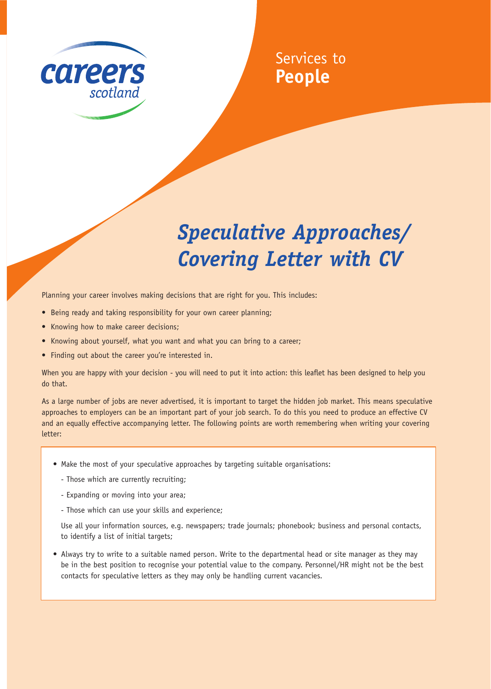

## Services to **People**

## *Speculative Approaches/ Covering Letter with CV*

Planning your career involves making decisions that are right for you. This includes:

- Being ready and taking responsibility for your own career planning;
- Knowing how to make career decisions;
- Knowing about yourself, what you want and what you can bring to a career;
- Finding out about the career you're interested in.

When you are happy with your decision - you will need to put it into action: this leaflet has been designed to help you do that.

As a large number of jobs are never advertised, it is important to target the hidden job market. This means speculative approaches to employers can be an important part of your job search. To do this you need to produce an effective CV and an equally effective accompanying letter. The following points are worth remembering when writing your covering letter:

- Make the most of your speculative approaches by targeting suitable organisations:
	- Those which are currently recruiting;
	- Expanding or moving into your area;
	- Those which can use your skills and experience;

Use all your information sources, e.g. newspapers; trade journals; phonebook; business and personal contacts, to identify a list of initial targets;

• Always try to write to a suitable named person. Write to the departmental head or site manager as they may be in the best position to recognise your potential value to the company. Personnel/HR might not be the best contacts for speculative letters as they may only be handling current vacancies.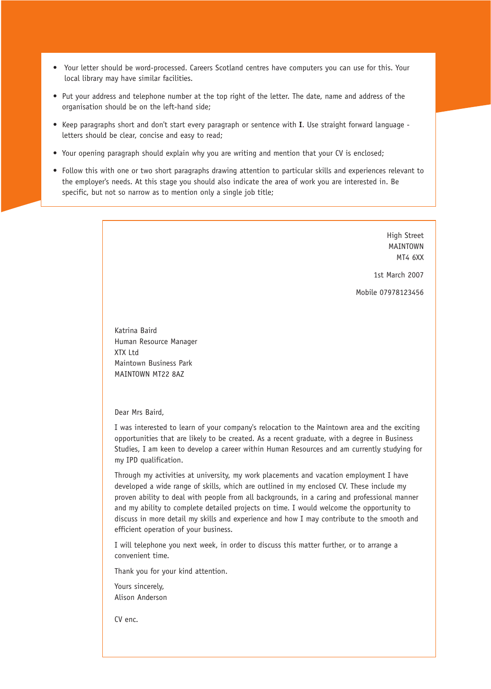- Your letter should be word-processed. Careers Scotland centres have computers you can use for this. Your local library may have similar facilities.
- Put your address and telephone number at the top right of the letter. The date, name and address of the organisation should be on the left-hand side;
- Keep paragraphs short and don't start every paragraph or sentence with **I**. Use straight forward language letters should be clear, concise and easy to read;
- Your opening paragraph should explain why you are writing and mention that your CV is enclosed;
- Follow this with one or two short paragraphs drawing attention to particular skills and experiences relevant to the employer's needs. At this stage you should also indicate the area of work you are interested in. Be specific, but not so narrow as to mention only a single job title;

High Street MAINTOWN MT4 6XX

1st March 2007

Mobile 07978123456

Katrina Baird Human Resource Manager XTX Ltd Maintown Business Park MAINTOWN MT22 8AZ

Dear Mrs Baird,

I was interested to learn of your company's relocation to the Maintown area and the exciting opportunities that are likely to be created. As a recent graduate, with a degree in Business Studies, I am keen to develop a career within Human Resources and am currently studying for my IPD qualification.

Through my activities at university, my work placements and vacation employment I have developed a wide range of skills, which are outlined in my enclosed CV. These include my proven ability to deal with people from all backgrounds, in a caring and professional manner and my ability to complete detailed projects on time. I would welcome the opportunity to discuss in more detail my skills and experience and how I may contribute to the smooth and efficient operation of your business.

I will telephone you next week, in order to discuss this matter further, or to arrange a convenient time.

Thank you for your kind attention.

Yours sincerely, Alison Anderson

CV enc.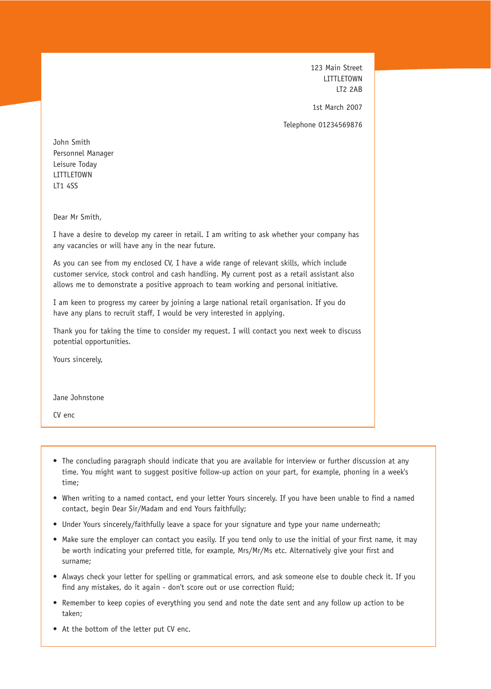123 Main Street LITTLETOWN LT2 2AB

1st March 2007

Telephone 01234569876

John Smith Personnel Manager Leisure Today LITTLETOWN LT1 4SS

Dear Mr Smith,

I have a desire to develop my career in retail. I am writing to ask whether your company has any vacancies or will have any in the near future.

As you can see from my enclosed CV, I have a wide range of relevant skills, which include customer service, stock control and cash handling. My current post as a retail assistant also allows me to demonstrate a positive approach to team working and personal initiative.

I am keen to progress my career by joining a large national retail organisation. If you do have any plans to recruit staff, I would be very interested in applying.

Thank you for taking the time to consider my request. I will contact you next week to discuss potential opportunities.

Yours sincerely,

Jane Johnstone

CV enc

- The concluding paragraph should indicate that you are available for interview or further discussion at any time. You might want to suggest positive follow-up action on your part, for example, phoning in a week's time;
- When writing to a named contact, end your letter Yours sincerely. If you have been unable to find a named contact, begin Dear Sir/Madam and end Yours faithfully;
- Under Yours sincerely/faithfully leave a space for your signature and type your name underneath;
- Make sure the employer can contact you easily. If you tend only to use the initial of your first name, it may be worth indicating your preferred title, for example, Mrs/Mr/Ms etc. Alternatively give your first and surname;
- Always check your letter for spelling or grammatical errors, and ask someone else to double check it. If you find any mistakes, do it again - don't score out or use correction fluid;
- Remember to keep copies of everything you send and note the date sent and any follow up action to be taken;
- At the bottom of the letter put CV enc.